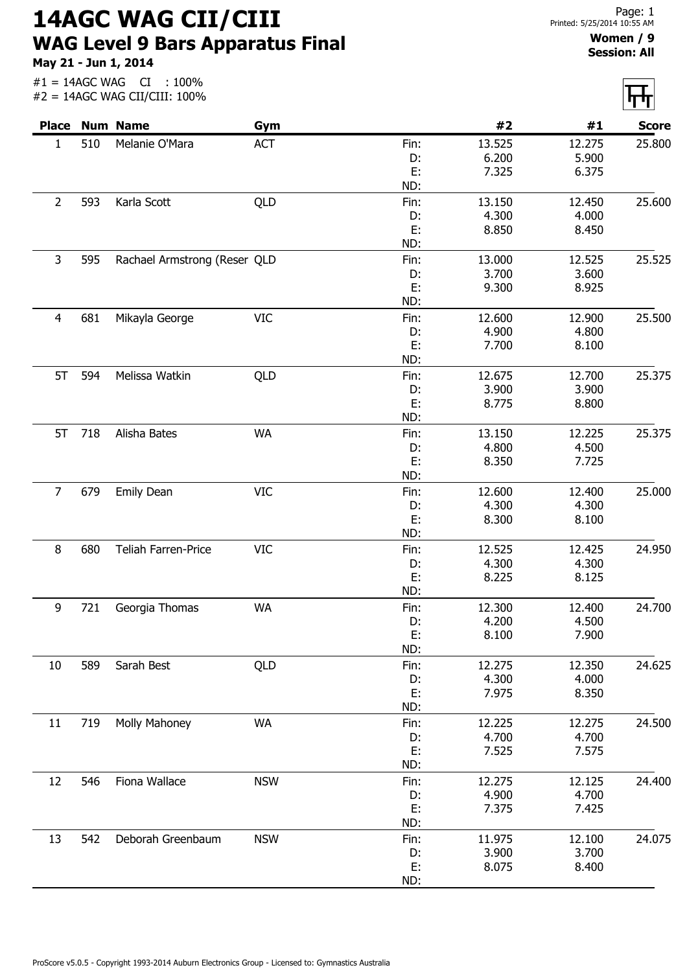14AGC WAG CII/CIII WAG Level 9 Bars Apparatus Final May 21 - Jun 1, 2014

 $#1 = 14AGC WAG$   $CI : 100\%$ 

## Women / 9 Session: All

| <b>Place</b>   |     | <b>Num Name</b>              | Gym        |            | #2     | #1     | <b>Score</b> |
|----------------|-----|------------------------------|------------|------------|--------|--------|--------------|
| $\mathbf{1}$   | 510 | Melanie O'Mara               | <b>ACT</b> | Fin:       | 13.525 | 12.275 | 25.800       |
|                |     |                              |            | D:         | 6.200  | 5.900  |              |
|                |     |                              |            | E:         | 7.325  | 6.375  |              |
|                |     |                              |            | ND:        |        |        |              |
| $\overline{2}$ | 593 | Karla Scott                  | QLD        | Fin:       | 13.150 | 12.450 | 25.600       |
|                |     |                              |            | D:         | 4.300  | 4.000  |              |
|                |     |                              |            | E:         | 8.850  | 8.450  |              |
|                |     |                              |            | ND:        |        |        |              |
| 3              | 595 | Rachael Armstrong (Reser QLD |            | Fin:       | 13.000 | 12.525 | 25.525       |
|                |     |                              |            | D:         | 3.700  | 3.600  |              |
|                |     |                              |            | E:         | 9.300  | 8.925  |              |
|                |     |                              |            | ND:        |        |        |              |
| $\overline{4}$ | 681 | Mikayla George               | <b>VIC</b> | Fin:       | 12.600 | 12.900 | 25.500       |
|                |     |                              |            | D:         | 4.900  | 4.800  |              |
|                |     |                              |            | E:         | 7.700  | 8.100  |              |
|                |     |                              |            | ND:        |        |        |              |
| 5T             | 594 | Melissa Watkin               | QLD        | Fin:       | 12.675 | 12.700 | 25.375       |
|                |     |                              |            | D:         | 3.900  | 3.900  |              |
|                |     |                              |            | E:         | 8.775  | 8.800  |              |
|                |     |                              |            | ND:        |        |        |              |
| 5T             | 718 | Alisha Bates                 | <b>WA</b>  | Fin:       | 13.150 | 12.225 | 25.375       |
|                |     |                              |            | D:         | 4.800  | 4.500  |              |
|                |     |                              |            | E:         | 8.350  | 7.725  |              |
|                |     |                              |            | ND:        |        |        |              |
| $\overline{7}$ | 679 | <b>Emily Dean</b>            | <b>VIC</b> | Fin:       | 12.600 | 12.400 | 25.000       |
|                |     |                              |            | D:         | 4.300  | 4.300  |              |
|                |     |                              |            | E:<br>ND:  | 8.300  | 8.100  |              |
| 8              | 680 | Teliah Farren-Price          | <b>VIC</b> |            | 12.525 | 12.425 | 24.950       |
|                |     |                              |            | Fin:<br>D: | 4.300  | 4.300  |              |
|                |     |                              |            | E:         | 8.225  | 8.125  |              |
|                |     |                              |            | ND:        |        |        |              |
| 9              | 721 | Georgia Thomas               | <b>WA</b>  | Fin:       | 12.300 | 12.400 | 24.700       |
|                |     |                              |            | D:         | 4.200  | 4.500  |              |
|                |     |                              |            | E:         | 8.100  | 7.900  |              |
|                |     |                              |            | ND:        |        |        |              |
| 10             | 589 | Sarah Best                   | QLD        | Fin:       | 12.275 | 12.350 | 24.625       |
|                |     |                              |            | D:         | 4.300  | 4.000  |              |
|                |     |                              |            | E:         | 7.975  | 8.350  |              |
|                |     |                              |            | ND:        |        |        |              |
| 11             | 719 | Molly Mahoney                | <b>WA</b>  | Fin:       | 12.225 | 12.275 | 24.500       |
|                |     |                              |            | D:         | 4.700  | 4.700  |              |
|                |     |                              |            | E:         | 7.525  | 7.575  |              |
|                |     |                              |            | ND:        |        |        |              |
| 12             | 546 | Fiona Wallace                | <b>NSW</b> | Fin:       | 12.275 | 12.125 | 24.400       |
|                |     |                              |            | D:         | 4.900  | 4.700  |              |
|                |     |                              |            | E:         | 7.375  | 7.425  |              |
|                |     |                              |            | ND:        |        |        |              |
| 13             | 542 | Deborah Greenbaum            | <b>NSW</b> | Fin:       | 11.975 | 12.100 | 24.075       |
|                |     |                              |            | D:         | 3.900  | 3.700  |              |
|                |     |                              |            | E:         | 8.075  | 8.400  |              |
|                |     |                              |            | ND:        |        |        |              |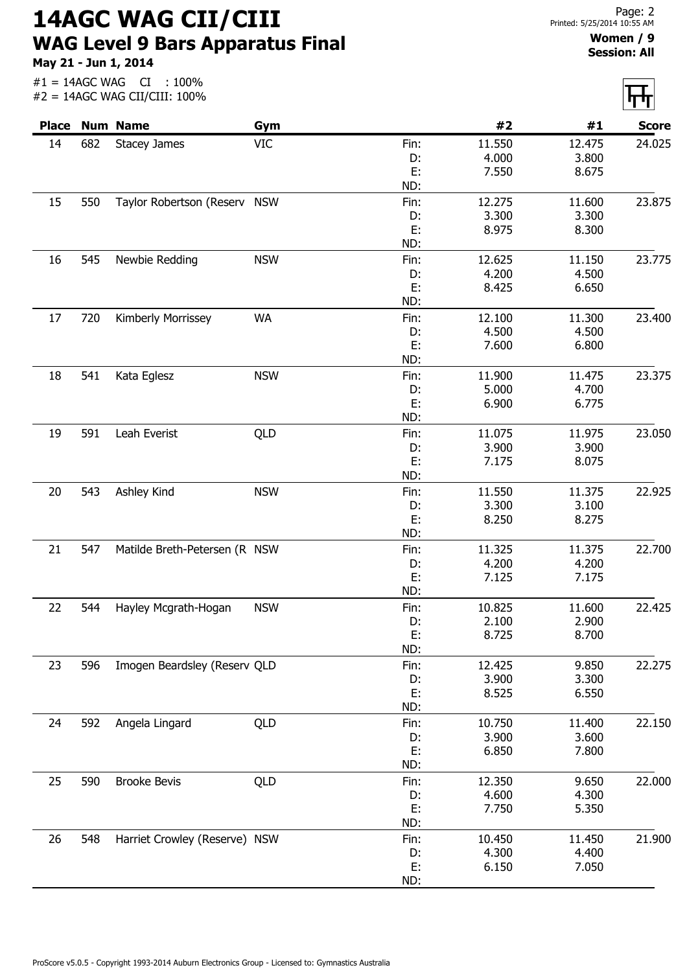14AGC WAG CII/CIII WAG Level 9 Bars Apparatus Final

May 21 - Jun 1, 2014

#1 = 14AGC WAG CI : 100%

|    |     | #2 = 14AGC WAG CII/CIII: 100% |            |      |        |        | पाग          |
|----|-----|-------------------------------|------------|------|--------|--------|--------------|
|    |     | <b>Place Num Name</b>         | Gym        |      | #2     | #1     | <b>Score</b> |
| 14 | 682 | <b>Stacey James</b>           | <b>VIC</b> | Fin: | 11.550 | 12.475 | 24.025       |
|    |     |                               |            | D:   | 4.000  | 3.800  |              |
|    |     |                               |            | E:   | 7.550  | 8.675  |              |
|    |     |                               |            | ND:  |        |        |              |
| 15 | 550 | Taylor Robertson (Reserv NSW  |            | Fin: | 12.275 | 11.600 | 23.875       |
|    |     |                               |            | D:   | 3.300  | 3.300  |              |
|    |     |                               |            | E:   | 8.975  | 8.300  |              |
|    |     |                               |            | ND:  |        |        |              |
| 16 | 545 | Newbie Redding                | <b>NSW</b> | Fin: | 12.625 | 11.150 | 23.775       |
|    |     |                               |            | D:   | 4.200  | 4.500  |              |
|    |     |                               |            | E:   | 8.425  | 6.650  |              |
|    |     |                               |            | ND:  |        |        |              |
| 17 | 720 | Kimberly Morrissey            | <b>WA</b>  | Fin: | 12.100 | 11.300 | 23.400       |
|    |     |                               |            | D:   | 4.500  | 4.500  |              |
|    |     |                               |            | E:   | 7.600  | 6.800  |              |
|    |     |                               |            | ND:  |        |        |              |
| 18 | 541 | Kata Eglesz                   | <b>NSW</b> | Fin: | 11.900 | 11.475 | 23.375       |
|    |     |                               |            | D:   | 5.000  | 4.700  |              |
|    |     |                               |            | E:   | 6.900  | 6.775  |              |
|    |     |                               |            | ND:  |        |        |              |
| 19 | 591 | Leah Everist                  | QLD        | Fin: | 11.075 | 11.975 | 23.050       |
|    |     |                               |            | D:   | 3.900  | 3.900  |              |
|    |     |                               |            | E:   | 7.175  | 8.075  |              |
|    |     |                               |            | ND:  |        |        |              |
|    | 543 |                               | <b>NSW</b> |      | 11.550 |        | 22.925       |
| 20 |     | Ashley Kind                   |            | Fin: |        | 11.375 |              |
|    |     |                               |            | D:   | 3.300  | 3.100  |              |
|    |     |                               |            | E:   | 8.250  | 8.275  |              |
|    |     |                               |            | ND:  |        |        |              |
| 21 | 547 | Matilde Breth-Petersen (R NSW |            | Fin: | 11.325 | 11.375 | 22.700       |
|    |     |                               |            | D:   | 4.200  | 4.200  |              |
|    |     |                               |            | E:   | 7.125  | 7.175  |              |
|    |     |                               |            | ND:  |        |        |              |
| 22 | 544 | Hayley Mcgrath-Hogan          | <b>NSW</b> | Fin: | 10.825 | 11.600 | 22.425       |
|    |     |                               |            | D:   | 2.100  | 2.900  |              |
|    |     |                               |            | E:   | 8.725  | 8.700  |              |
|    |     |                               |            | ND:  |        |        |              |
| 23 | 596 | Imogen Beardsley (Reserv QLD  |            | Fin: | 12.425 | 9.850  | 22.275       |
|    |     |                               |            | D:   | 3.900  | 3.300  |              |
|    |     |                               |            | E:   | 8.525  | 6.550  |              |
|    |     |                               |            | ND:  |        |        |              |
| 24 | 592 | Angela Lingard                | QLD        | Fin: | 10.750 | 11.400 | 22.150       |
|    |     |                               |            | D:   | 3.900  | 3.600  |              |
|    |     |                               |            | E:   | 6.850  | 7.800  |              |
|    |     |                               |            | ND:  |        |        |              |
| 25 | 590 | <b>Brooke Bevis</b>           | QLD        | Fin: | 12.350 | 9.650  | 22.000       |
|    |     |                               |            | D:   | 4.600  | 4.300  |              |
|    |     |                               |            | E:   | 7.750  | 5.350  |              |
|    |     |                               |            | ND:  |        |        |              |
| 26 | 548 | Harriet Crowley (Reserve) NSW |            | Fin: | 10.450 | 11.450 | 21.900       |
|    |     |                               |            | D:   | 4.300  | 4.400  |              |
|    |     |                               |            | E:   | 6.150  | 7.050  |              |
|    |     |                               |            | ND:  |        |        |              |
|    |     |                               |            |      |        |        |              |